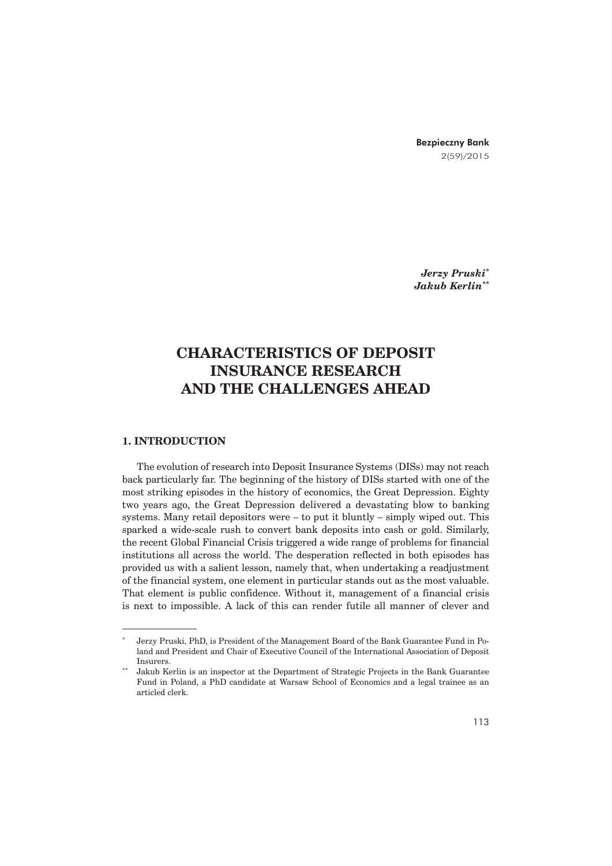Bezpieczny Bank 2(59)/2015

*Jerzy Pruski\* Jakub Kerlin\*\**

# **CHARACTERISTICS OF DEPOSIT INSURANCE RESEARCH AND THE CHALLENGES AHEAD**

# **1. INTRODUCTION**

The evolution of research into Deposit Insurance Systems (DISs) may not reach back particularly far. The beginning of the history of DISs started with one of the most striking episodes in the history of economics, the Great Depression. Eighty two years ago, the Great Depression delivered a devastating blow to banking systems. Many retail depositors were  $-$  to put it bluntly  $-$  simply wiped out. This sparked a wide-scale rush to convert bank deposits into cash or gold. Similarly, the recent Global Financial Crisis triggered a wide range of problems for financial institutions all across the world. The desperation reflected in both episodes has provided us with a salient lesson, namely that, when undertaking a readjustment of the financial system, one element in particular stands out as the most valuable. That element is public confidence. Without it, management of a financial crisis is next to impossible. A lack of this can render futile all manner of clever and

Jerzy Pruski, PhD, is President of the Management Board of the Bank Guarantee Fund in Poland and President and Chair of Executive Council of the International Association of Deposit Insurers.

<sup>\*\*</sup> Jakub Kerlin is an inspector at the Department of Strategic Projects in the Bank Guarantee Fund in Poland, a PhD candidate at Warsaw School of Economics and a legal trainee as an articled clerk.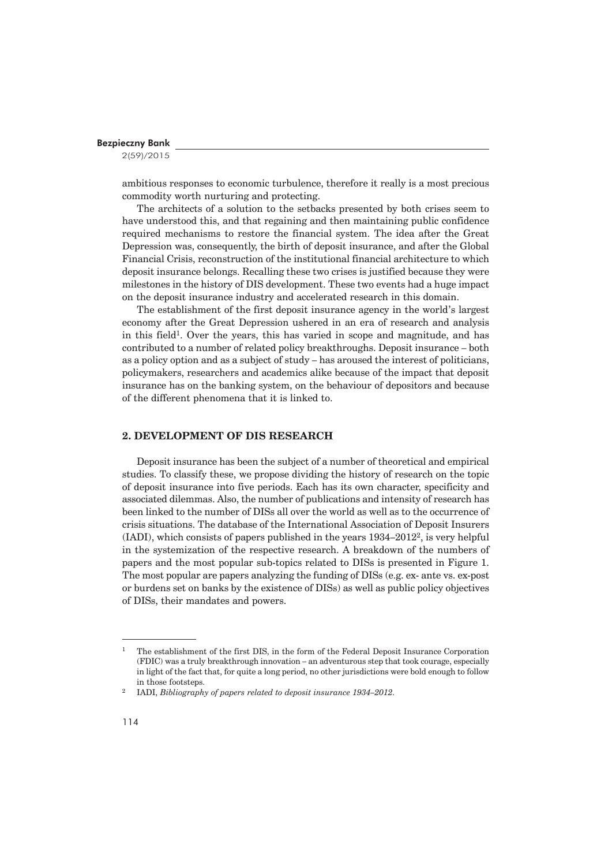2(59)/2015

ambitious responses to economic turbulence, therefore it really is a most precious commodity worth nurturing and protecting.

The architects of a solution to the setbacks presented by both crises seem to have understood this, and that regaining and then maintaining public confidence required mechanisms to restore the financial system. The idea after the Great Depression was, consequently, the birth of deposit insurance, and after the Global Financial Crisis, reconstruction of the institutional financial architecture to which deposit insurance belongs. Recalling these two crises is justified because they were milestones in the history of DIS development. These two events had a huge impact on the deposit insurance industry and accelerated research in this domain.

The establishment of the first deposit insurance agency in the world's largest economy after the Great Depression ushered in an era of research and analysis in this field<sup>1</sup>. Over the years, this has varied in scope and magnitude, and has contributed to a number of related policy breakthroughs. Deposit insurance – both as a policy option and as a subject of study – has aroused the interest of politicians, policymakers, researchers and academics alike because of the impact that deposit insurance has on the banking system, on the behaviour of depositors and because of the different phenomena that it is linked to.

# **2. DEVELOPMENT OF DIS RESEARCH**

Deposit insurance has been the subject of a number of theoretical and empirical studies. To classify these, we propose dividing the history of research on the topic of deposit insurance into five periods. Each has its own character, specificity and associated dilemmas. Also, the number of publications and intensity of research has been linked to the number of DISs all over the world as well as to the occurrence of crisis situations. The database of the International Association of Deposit Insurers (IADI), which consists of papers published in the years 1934–20122, is very helpful in the systemization of the respective research. A breakdown of the numbers of papers and the most popular sub-topics related to DISs is presented in Figure 1. The most popular are papers analyzing the funding of DISs (e.g. ex- ante vs. ex-post or burdens set on banks by the existence of DISs) as well as public policy objectives of DISs, their mandates and powers.

<sup>1</sup> The establishment of the first DIS, in the form of the Federal Deposit Insurance Corporation (FDIC) was a truly breakthrough innovation – an adventurous step that took courage, especially in light of the fact that, for quite a long period, no other jurisdictions were bold enough to follow in those footsteps.

<sup>2</sup> IADI, *Bibliography of papers related to deposit insurance 1934–2012.*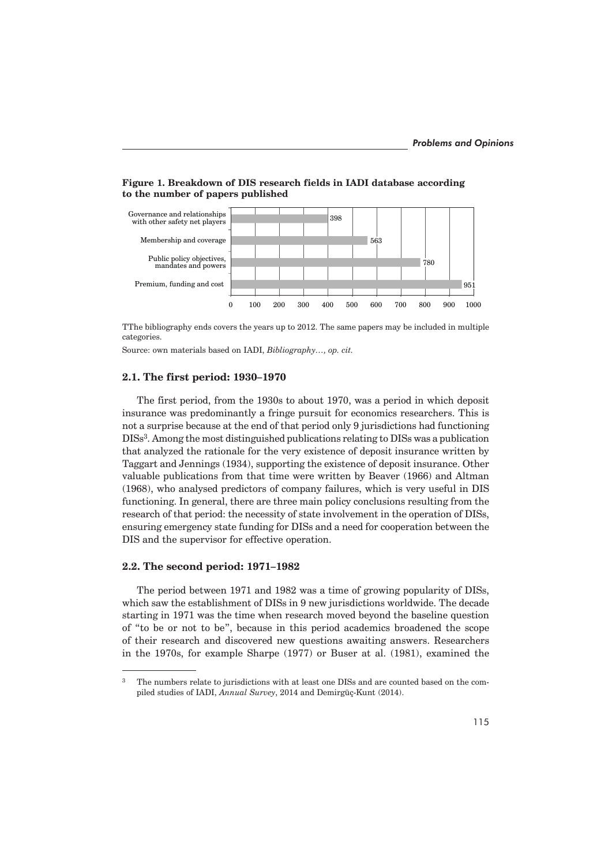



TThe bibliography ends covers the years up to 2012. The same papers may be included in multiple categories.

Source: own materials based on IADI, *Bibliography…, op. cit.*

### **2.1. The first period: 1930–1970**

The first period, from the 1930s to about 1970, was a period in which deposit insurance was predominantly a fringe pursuit for economics researchers. This is not a surprise because at the end of that period only 9 jurisdictions had functioning DISs3. Among the most distinguished publications relating to DISs was a publication that analyzed the rationale for the very existence of deposit insurance written by Taggart and Jennings (1934), supporting the existence of deposit insurance. Other valuable publications from that time were written by Beaver (1966) and Altman (1968), who analysed predictors of company failures, which is very useful in DIS functioning. In general, there are three main policy conclusions resulting from the research of that period: the necessity of state involvement in the operation of DISs, ensuring emergency state funding for DISs and a need for cooperation between the DIS and the supervisor for effective operation.

# **2.2. The second period: 1971–1982**

The period between 1971 and 1982 was a time of growing popularity of DISs, which saw the establishment of DISs in 9 new jurisdictions worldwide. The decade starting in 1971 was the time when research moved beyond the baseline question of "to be or not to be", because in this period academics broadened the scope of their research and discovered new questions awaiting answers. Researchers in the 1970s, for example Sharpe (1977) or Buser at al. (1981), examined the

<sup>&</sup>lt;sup>3</sup> The numbers relate to jurisdictions with at least one DISs and are counted based on the compiled studies of IADI, *Annual Survey*, 2014 and Demirgüç-Kunt (2014).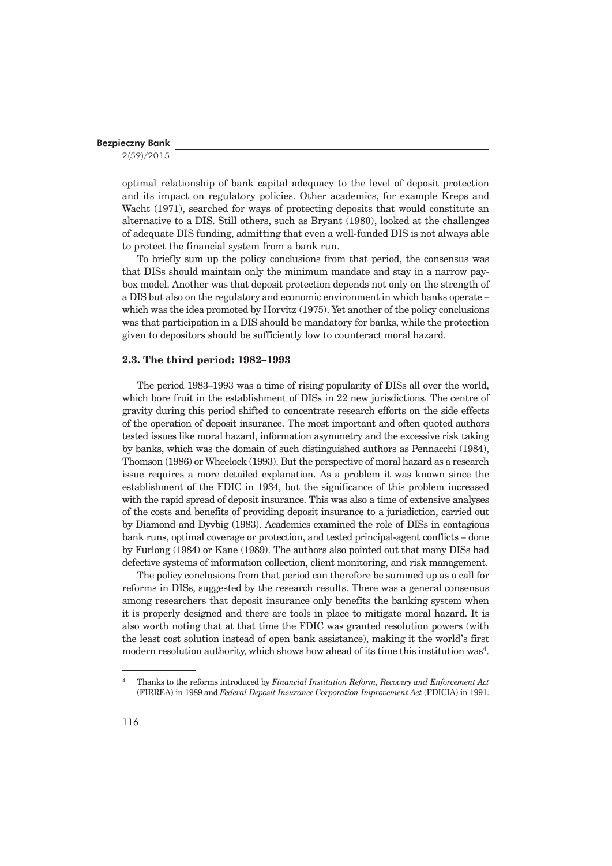2(59)/2015

optimal relationship of bank capital adequacy to the level of deposit protection and its impact on regulatory policies. Other academics, for example Kreps and Wacht (1971), searched for ways of protecting deposits that would constitute an alternative to a DIS. Still others, such as Bryant (1980), looked at the challenges of adequate DIS funding, admitting that even a well-funded DIS is not always able to protect the financial system from a bank run.

To briefly sum up the policy conclusions from that period, the consensus was that DISs should maintain only the minimum mandate and stay in a narrow paybox model. Another was that deposit protection depends not only on the strength of a DIS but also on the regulatory and economic environment in which banks operate – which was the idea promoted by Horvitz (1975). Yet another of the policy conclusions was that participation in a DIS should be mandatory for banks, while the protection given to depositors should be sufficiently low to counteract moral hazard.

#### **2.3. The third period: 1982–1993**

The period 1983–1993 was a time of rising popularity of DISs all over the world, which bore fruit in the establishment of DISs in 22 new jurisdictions. The centre of gravity during this period shifted to concentrate research efforts on the side effects of the operation of deposit insurance. The most important and often quoted authors tested issues like moral hazard, information asymmetry and the excessive risk taking by banks, which was the domain of such distinguished authors as Pennacchi (1984), Thomson (1986) or Wheelock (1993). But the perspective of moral hazard as a research issue requires a more detailed explanation. As a problem it was known since the establishment of the FDIC in 1934, but the significance of this problem increased with the rapid spread of deposit insurance. This was also a time of extensive analyses of the costs and benefits of providing deposit insurance to a jurisdiction, carried out by Diamond and Dyvbig (1983). Academics examined the role of DISs in contagious bank runs, optimal coverage or protection, and tested principal-agent conflicts – done by Furlong (1984) or Kane (1989). The authors also pointed out that many DISs had defective systems of information collection, client monitoring, and risk management.

The policy conclusions from that period can therefore be summed up as a call for reforms in DISs, suggested by the research results. There was a general consensus among researchers that deposit insurance only benefits the banking system when it is properly designed and there are tools in place to mitigate moral hazard. It is also worth noting that at that time the FDIC was granted resolution powers (with the least cost solution instead of open bank assistance), making it the world's first modern resolution authority, which shows how ahead of its time this institution was<sup>4</sup>.

<sup>4</sup> Thanks to the reforms introduced by *Financial Institution Reform, Recovery and Enforcement Act* (FIRREA) in 1989 and *Federal Deposit Insurance Corporation Improvement Act* (FDICIA) in 1991.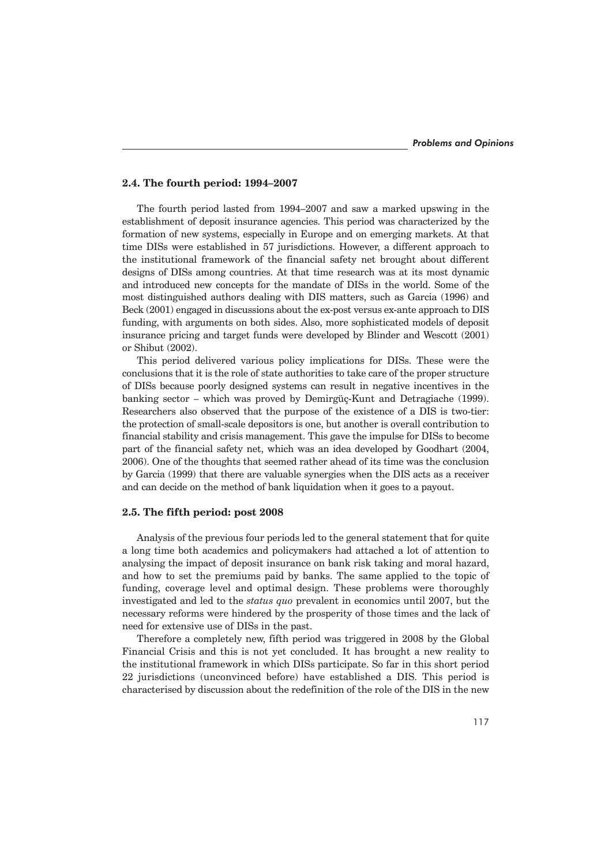#### **2.4. The fourth period: 1994–2007**

The fourth period lasted from 1994–2007 and saw a marked upswing in the establishment of deposit insurance agencies. This period was characterized by the formation of new systems, especially in Europe and on emerging markets. At that time DISs were established in 57 jurisdictions. However, a different approach to the institutional framework of the financial safety net brought about different designs of DISs among countries. At that time research was at its most dynamic and introduced new concepts for the mandate of DISs in the world. Some of the most distinguished authors dealing with DIS matters, such as Garcia (1996) and Beck (2001) engaged in discussions about the ex-post versus ex-ante approach to DIS funding, with arguments on both sides. Also, more sophisticated models of deposit insurance pricing and target funds were developed by Blinder and Wescott (2001) or Shibut (2002).

This period delivered various policy implications for DISs. These were the conclusions that it is the role of state authorities to take care of the proper structure of DISs because poorly designed systems can result in negative incentives in the banking sector – which was proved by Demirgüç-Kunt and Detragiache (1999). Researchers also observed that the purpose of the existence of a DIS is two-tier: the protection of small-scale depositors is one, but another is overall contribution to financial stability and crisis management. This gave the impulse for DISs to become part of the financial safety net, which was an idea developed by Goodhart (2004, 2006). One of the thoughts that seemed rather ahead of its time was the conclusion by Garcia (1999) that there are valuable synergies when the DIS acts as a receiver and can decide on the method of bank liquidation when it goes to a payout.

#### **2.5. The fifth period: post 2008**

Analysis of the previous four periods led to the general statement that for quite a long time both academics and policymakers had attached a lot of attention to analysing the impact of deposit insurance on bank risk taking and moral hazard, and how to set the premiums paid by banks. The same applied to the topic of funding, coverage level and optimal design. These problems were thoroughly investigated and led to the *status quo* prevalent in economics until 2007, but the necessary reforms were hindered by the prosperity of those times and the lack of need for extensive use of DISs in the past.

Therefore a completely new, fifth period was triggered in 2008 by the Global Financial Crisis and this is not yet concluded. It has brought a new reality to the institutional framework in which DISs participate. So far in this short period 22 jurisdictions (unconvinced before) have established a DIS. This period is characterised by discussion about the redefinition of the role of the DIS in the new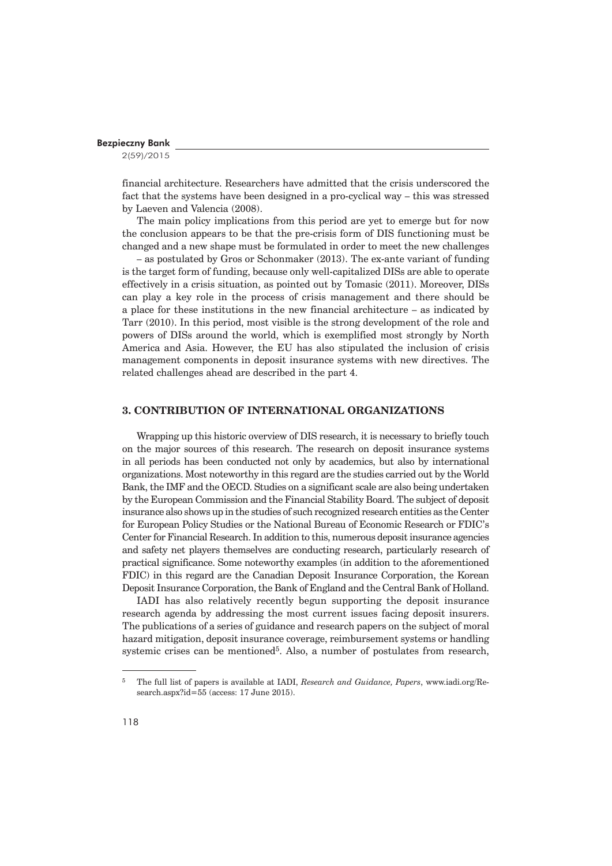2(59)/2015

financial architecture. Researchers have admitted that the crisis underscored the fact that the systems have been designed in a pro-cyclical way – this was stressed by Laeven and Valencia (2008).

The main policy implications from this period are yet to emerge but for now the conclusion appears to be that the pre-crisis form of DIS functioning must be changed and a new shape must be formulated in order to meet the new challenges

– as postulated by Gros or Schonmaker (2013). The ex-ante variant of funding is the target form of funding, because only well-capitalized DISs are able to operate effectively in a crisis situation, as pointed out by Tomasic (2011). Moreover, DISs can play a key role in the process of crisis management and there should be a place for these institutions in the new financial architecture – as indicated by Tarr (2010). In this period, most visible is the strong development of the role and powers of DISs around the world, which is exemplified most strongly by North America and Asia. However, the EU has also stipulated the inclusion of crisis management components in deposit insurance systems with new directives. The related challenges ahead are described in the part 4.

# **3. CONTRIBUTION OF INTERNATIONAL ORGANIZATIONS**

Wrapping up this historic overview of DIS research, it is necessary to briefly touch on the major sources of this research. The research on deposit insurance systems in all periods has been conducted not only by academics, but also by international organizations. Most noteworthy in this regard are the studies carried out by the World Bank, the IMF and the OECD. Studies on a significant scale are also being undertaken by the European Commission and the Financial Stability Board. The subject of deposit insurance also shows up in the studies of such recognized research entities as the Center for European Policy Studies or the National Bureau of Economic Research or FDIC's Center for Financial Research. In addition to this, numerous deposit insurance agencies and safety net players themselves are conducting research, particularly research of practical significance. Some noteworthy examples (in addition to the aforementioned FDIC) in this regard are the Canadian Deposit Insurance Corporation, the Korean Deposit Insurance Corporation, the Bank of England and the Central Bank of Holland.

IADI has also relatively recently begun supporting the deposit insurance research agenda by addressing the most current issues facing deposit insurers. The publications of a series of guidance and research papers on the subject of moral hazard mitigation, deposit insurance coverage, reimbursement systems or handling systemic crises can be mentioned<sup>5</sup>. Also, a number of postulates from research,

<sup>5</sup> The full list of papers is available at IADI, *Research and Guidance, Papers*, www.iadi.org/Research.aspx?id=55 (access: 17 June 2015).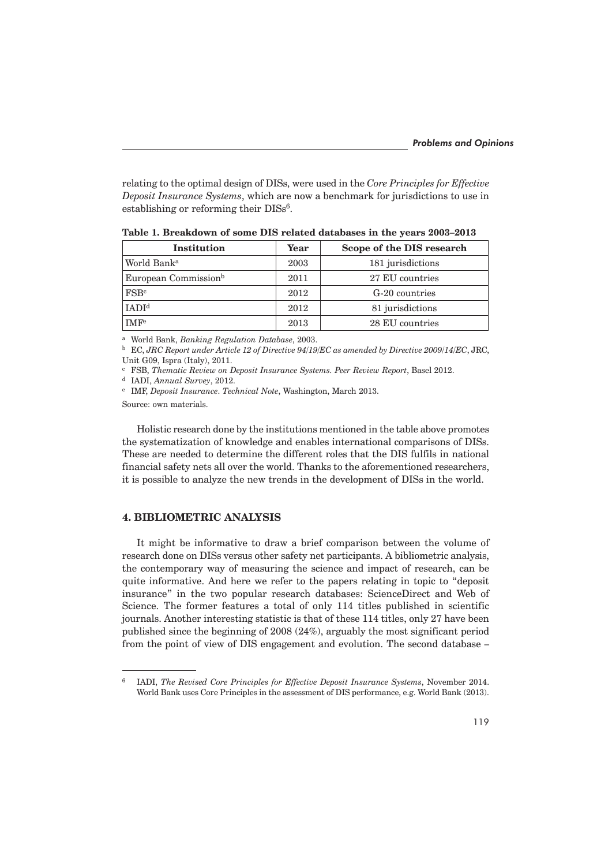relating to the optimal design of DISs, were used in the *Core Principles for Effective Deposit Insurance Systems*, which are now a benchmark for jurisdictions to use in establishing or reforming their DISs<sup>6</sup>.

| Institution                      | Year | Scope of the DIS research |
|----------------------------------|------|---------------------------|
| World Bank <sup>a</sup>          | 2003 | 181 jurisdictions         |
| European Commission <sup>b</sup> | 2011 | 27 EU countries           |
| FSB <sup>c</sup>                 | 2012 | G-20 countries            |
| IADI <sup>d</sup>                | 2012 | 81 jurisdictions          |
| <b>IMF<sup>e</sup></b>           | 2013 | 28 EU countries           |

**Table 1. Breakdown of some DIS related databases in the years 2003–2013**

a World Bank, *Banking Regulation Database*, 2003.

b EC, *JRC Report under Article 12 of Directive 94/19/EC as amended by Directive 2009/14/EC*, JRC, Unit G09, Ispra (Italy), 2011.

c FSB, *Thematic Review on Deposit Insurance Systems. Peer Review Report*, Basel 2012.

d IADI, *Annual Survey*, 2012.

e IMF, *Deposit Insurance*. *Technical Note*, Washington, March 2013.

Source: own materials.

Holistic research done by the institutions mentioned in the table above promotes the systematization of knowledge and enables international comparisons of DISs. These are needed to determine the different roles that the DIS fulfils in national financial safety nets all over the world. Thanks to the aforementioned researchers, it is possible to analyze the new trends in the development of DISs in the world.

## **4. BIBLIOMETRIC ANALYSIS**

It might be informative to draw a brief comparison between the volume of research done on DISs versus other safety net participants. A bibliometric analysis, the contemporary way of measuring the science and impact of research, can be quite informative. And here we refer to the papers relating in topic to "deposit insurance" in the two popular research databases: ScienceDirect and Web of Science. The former features a total of only 114 titles published in scientific journals. Another interesting statistic is that of these 114 titles, only 27 have been published since the beginning of 2008 (24%), arguably the most significant period from the point of view of DIS engagement and evolution. The second database –

<sup>6</sup> IADI, *The Revised Core Principles for Effective Deposit Insurance Systems*, November 2014. World Bank uses Core Principles in the assessment of DIS performance, e.g. World Bank (2013).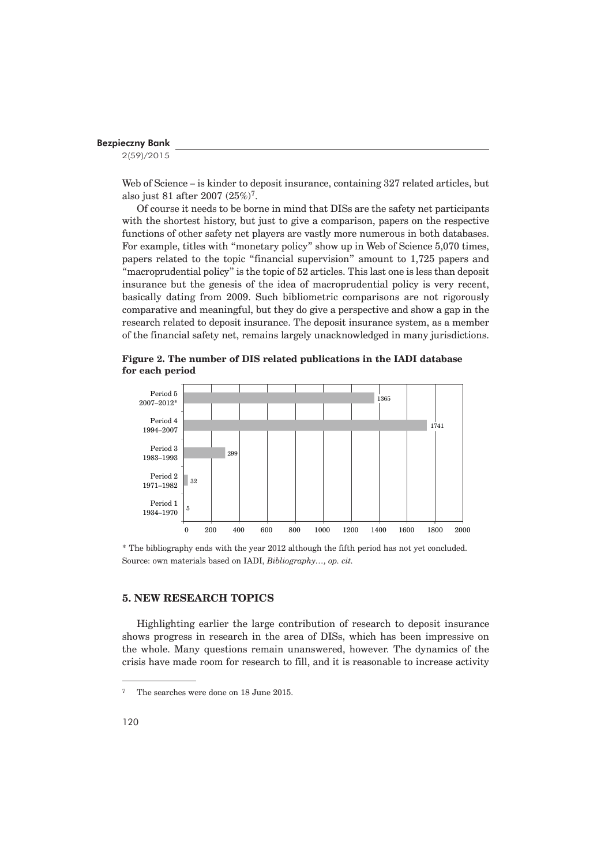2(59)/2015

Web of Science – is kinder to deposit insurance, containing 327 related articles, but also just 81 after 2007 (25%)7.

Of course it needs to be borne in mind that DISs are the safety net participants with the shortest history, but just to give a comparison, papers on the respective functions of other safety net players are vastly more numerous in both databases. For example, titles with "monetary policy" show up in Web of Science 5,070 times, papers related to the topic "financial supervision" amount to 1,725 papers and "macroprudential policy" is the topic of 52 articles. This last one is less than deposit insurance but the genesis of the idea of macroprudential policy is very recent, basically dating from 2009. Such bibliometric comparisons are not rigorously comparative and meaningful, but they do give a perspective and show a gap in the research related to deposit insurance. The deposit insurance system, as a member of the financial safety net, remains largely unacknowledged in many jurisdictions.

**Figure 2. The number of DIS related publications in the IADI database for each period**



<sup>\*</sup> The bibliography ends with the year 2012 although the fifth period has not yet concluded. Source: own materials based on IADI, *Bibliography…, op. cit.*

# **5. NEW RESEARCH TOPICS**

Highlighting earlier the large contribution of research to deposit insurance shows progress in research in the area of DISs, which has been impressive on the whole. Many questions remain unanswered, however. The dynamics of the crisis have made room for research to fill, and it is reasonable to increase activity

<sup>7</sup> The searches were done on 18 June 2015.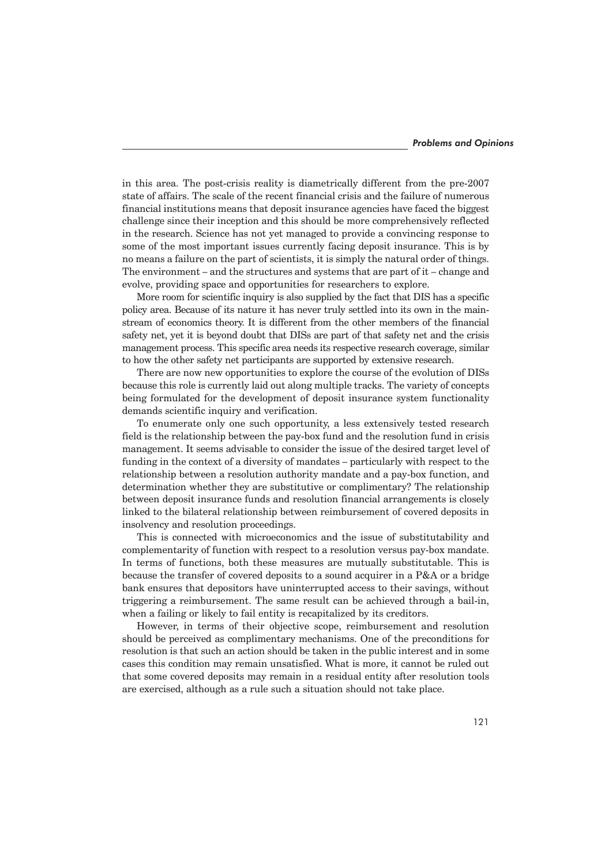in this area. The post-crisis reality is diametrically different from the pre-2007 state of affairs. The scale of the recent financial crisis and the failure of numerous financial institutions means that deposit insurance agencies have faced the biggest challenge since their inception and this should be more comprehensively reflected in the research. Science has not yet managed to provide a convincing response to some of the most important issues currently facing deposit insurance. This is by no means a failure on the part of scientists, it is simply the natural order of things. The environment – and the structures and systems that are part of it – change and evolve, providing space and opportunities for researchers to explore.

More room for scientific inquiry is also supplied by the fact that DIS has a specific policy area. Because of its nature it has never truly settled into its own in the mainstream of economics theory. It is different from the other members of the financial safety net, yet it is beyond doubt that DISs are part of that safety net and the crisis management process. This specific area needs its respective research coverage, similar to how the other safety net participants are supported by extensive research.

There are now new opportunities to explore the course of the evolution of DISs because this role is currently laid out along multiple tracks. The variety of concepts being formulated for the development of deposit insurance system functionality demands scientific inquiry and verification.

To enumerate only one such opportunity, a less extensively tested research field is the relationship between the pay-box fund and the resolution fund in crisis management. It seems advisable to consider the issue of the desired target level of funding in the context of a diversity of mandates – particularly with respect to the relationship between a resolution authority mandate and a pay-box function, and determination whether they are substitutive or complimentary? The relationship between deposit insurance funds and resolution financial arrangements is closely linked to the bilateral relationship between reimbursement of covered deposits in insolvency and resolution proceedings.

This is connected with microeconomics and the issue of substitutability and complementarity of function with respect to a resolution versus pay-box mandate. In terms of functions, both these measures are mutually substitutable. This is because the transfer of covered deposits to a sound acquirer in a P&A or a bridge bank ensures that depositors have uninterrupted access to their savings, without triggering a reimbursement. The same result can be achieved through a bail-in, when a failing or likely to fail entity is recapitalized by its creditors.

However, in terms of their objective scope, reimbursement and resolution should be perceived as complimentary mechanisms. One of the preconditions for resolution is that such an action should be taken in the public interest and in some cases this condition may remain unsatisfied. What is more, it cannot be ruled out that some covered deposits may remain in a residual entity after resolution tools are exercised, although as a rule such a situation should not take place.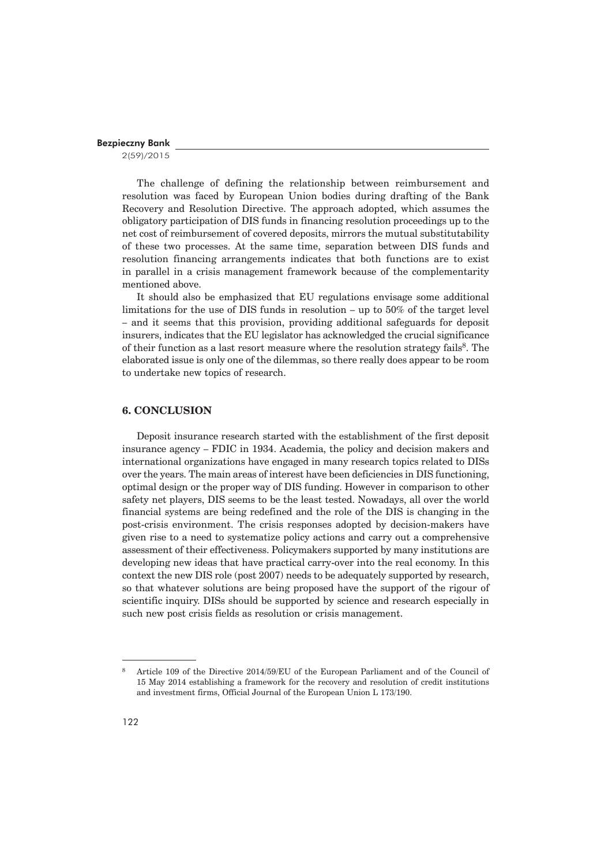2(59)/2015

The challenge of defining the relationship between reimbursement and resolution was faced by European Union bodies during drafting of the Bank Recovery and Resolution Directive. The approach adopted, which assumes the obligatory participation of DIS funds in financing resolution proceedings up to the net cost of reimbursement of covered deposits, mirrors the mutual substitutability of these two processes. At the same time, separation between DIS funds and resolution financing arrangements indicates that both functions are to exist in parallel in a crisis management framework because of the complementarity mentioned above.

It should also be emphasized that EU regulations envisage some additional limitations for the use of DIS funds in resolution – up to 50% of the target level – and it seems that this provision, providing additional safeguards for deposit insurers, indicates that the EU legislator has acknowledged the crucial significance of their function as a last resort measure where the resolution strategy fails8. The elaborated issue is only one of the dilemmas, so there really does appear to be room to undertake new topics of research.

# **6. CONCLUSION**

Deposit insurance research started with the establishment of the first deposit insurance agency – FDIC in 1934. Academia, the policy and decision makers and international organizations have engaged in many research topics related to DISs over the years. The main areas of interest have been deficiencies in DIS functioning, optimal design or the proper way of DIS funding. However in comparison to other safety net players, DIS seems to be the least tested. Nowadays, all over the world financial systems are being redefined and the role of the DIS is changing in the post-crisis environment. The crisis responses adopted by decision-makers have given rise to a need to systematize policy actions and carry out a comprehensive assessment of their effectiveness. Policymakers supported by many institutions are developing new ideas that have practical carry-over into the real economy. In this context the new DIS role (post 2007) needs to be adequately supported by research, so that whatever solutions are being proposed have the support of the rigour of scientific inquiry. DISs should be supported by science and research especially in such new post crisis fields as resolution or crisis management.

<sup>8</sup> Article 109 of the Directive 2014/59/EU of the European Parliament and of the Council of 15 May 2014 establishing a framework for the recovery and resolution of credit institutions and investment firms, Official Journal of the European Union L 173/190.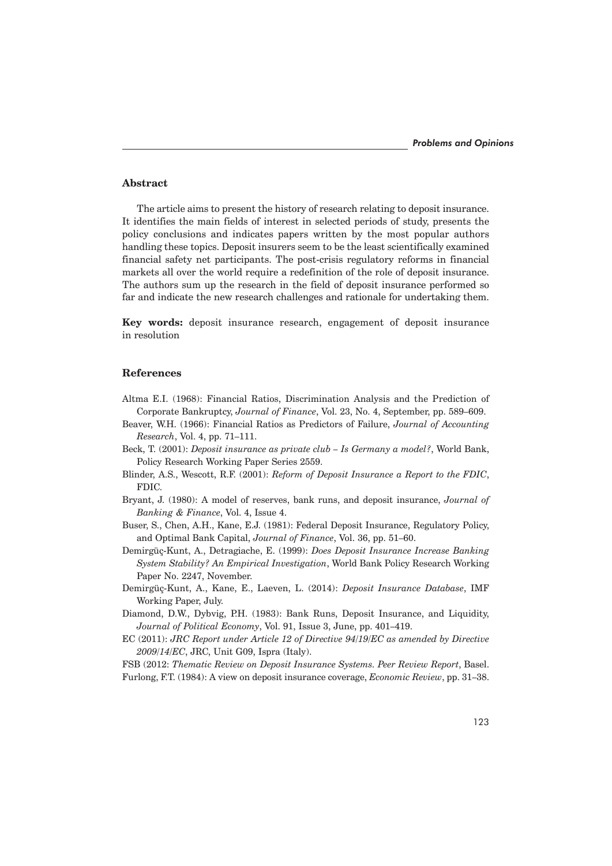### **Abstract**

The article aims to present the history of research relating to deposit insurance. It identifies the main fields of interest in selected periods of study, presents the policy conclusions and indicates papers written by the most popular authors handling these topics. Deposit insurers seem to be the least scientifically examined financial safety net participants. The post-crisis regulatory reforms in financial markets all over the world require a redefinition of the role of deposit insurance. The authors sum up the research in the field of deposit insurance performed so far and indicate the new research challenges and rationale for undertaking them.

**Key words:** deposit insurance research, engagement of deposit insurance in resolution

#### **References**

- Altma E.I. (1968): Financial Ratios, Discrimination Analysis and the Prediction of Corporate Bankruptcy, *Journal of Finance*, Vol. 23, No. 4, September, pp. 589–609.
- Beaver, W.H. (1966): Financial Ratios as Predictors of Failure, *Journal of Accounting Research*, Vol. 4, pp. 71–111.
- Beck, T. (2001): *Deposit insurance as private club Is Germany a model?*, World Bank, Policy Research Working Paper Series 2559.
- Blinder, A.S., Wescott, R.F. (2001): *Reform of Deposit Insurance a Report to the FDIC*, FDIC.
- Bryant, J. (1980): A model of reserves, bank runs, and deposit insurance, *Journal of Banking & Finance*, Vol. 4, Issue 4.
- Buser, S., Chen, A.H., Kane, E.J. (1981): Federal Deposit Insurance, Regulatory Policy, and Optimal Bank Capital, *Journal of Finance*, Vol. 36, pp. 51–60.
- Demirgüç-Kunt, A., Detragiache, E. (1999): *Does Deposit Insurance Increase Banking System Stability? An Empirical Investigation*, World Bank Policy Research Working Paper No. 2247, November.
- Demirgüç-Kunt, A., Kane, E., Laeven, L. (2014): *Deposit Insurance Database*, IMF Working Paper, July.
- Diamond, D.W., Dybvig, P.H. (1983): Bank Runs, Deposit Insurance, and Liquidity, *Journal of Political Economy*, Vol. 91, Issue 3, June, pp. 401–419.
- EC (2011): *JRC Report under Article 12 of Directive 94/19/EC as amended by Directive 2009/14/EC*, JRC, Unit G09, Ispra (Italy).

FSB (2012: *Thematic Review on Deposit Insurance Systems. Peer Review Report*, Basel. Furlong, F.T. (1984): A view on deposit insurance coverage, *Economic Review*, pp. 31–38.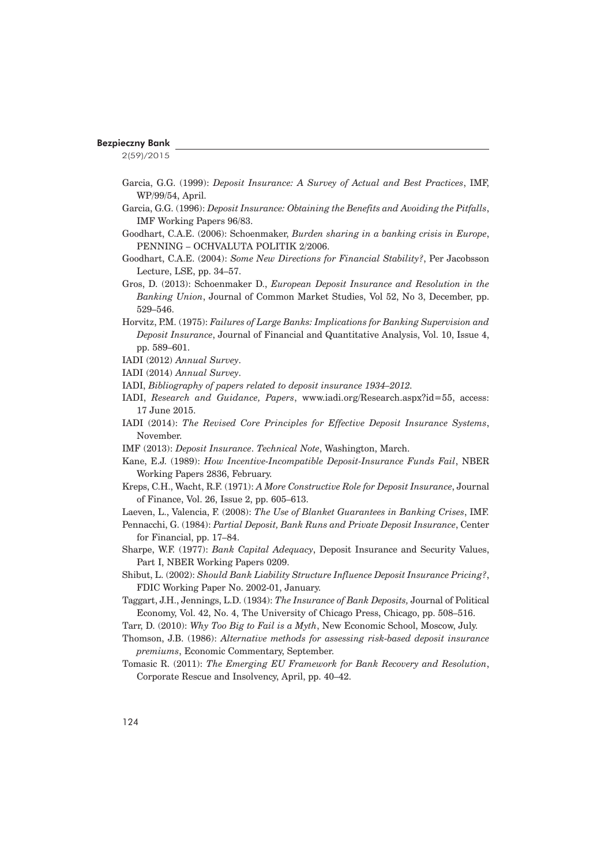2(59)/2015

- Garcia, G.G. (1999): *Deposit Insurance: A Survey of Actual and Best Practices*, IMF, WP/99/54, April.
- Garcia, G.G. (1996): *Deposit Insurance: Obtaining the Benefits and Avoiding the Pitfalls*, IMF Working Papers 96/83.
- Goodhart, C.A.E. (2006): Schoenmaker, *Burden sharing in a banking crisis in Europe*, PENNING – OCHVALUTA POLITIK 2/2006.
- Goodhart, C.A.E. (2004): *Some New Directions for Financial Stability?*, Per Jacobsson Lecture, LSE, pp. 34–57.
- Gros, D. (2013): Schoenmaker D., *European Deposit Insurance and Resolution in the Banking Union*, Journal of Common Market Studies, Vol 52, No 3, December, pp. 529–546.
- Horvitz, P.M. (1975): *Failures of Large Banks: Implications for Banking Supervision and Deposit Insurance*, Journal of Financial and Quantitative Analysis, Vol. 10, Issue 4, pp. 589–601.
- IADI (2012) *Annual Survey*.
- IADI (2014) *Annual Survey*.
- IADI, *Bibliography of papers related to deposit insurance 1934–2012.*
- IADI, *Research and Guidance, Papers*, www.iadi.org/Research.aspx?id=55, access: 17 June 2015.
- IADI (2014): *The Revised Core Principles for Effective Deposit Insurance Systems*, November.
- IMF (2013): *Deposit Insurance*. *Technical Note*, Washington, March.
- Kane, E.J. (1989): *How Incentive-Incompatible Deposit-Insurance Funds Fail*, NBER Working Papers 2836, February.
- Kreps, C.H., Wacht, R.F. (1971): *A More Constructive Role for Deposit Insurance*, Journal of Finance, Vol. 26, Issue 2, pp. 605–613.
- Laeven, L., Valencia, F. (2008): *The Use of Blanket Guarantees in Banking Crises*, IMF.
- Pennacchi, G. (1984): *Partial Deposit, Bank Runs and Private Deposit Insurance*, Center for Financial, pp. 17–84.
- Sharpe, W.F. (1977): *Bank Capital Adequacy*, Deposit Insurance and Security Values, Part I, NBER Working Papers 0209.
- Shibut, L. (2002): *Should Bank Liability Structure Influence Deposit Insurance Pricing?*, FDIC Working Paper No. 2002-01, January.
- Taggart, J.H., Jennings, L.D. (1934): *The Insurance of Bank Deposits,* Journal of Political Economy, Vol. 42, No. 4, The University of Chicago Press, Chicago, pp. 508–516.
- Tarr, D. (2010): *Why Too Big to Fail is a Myth*, New Economic School, Moscow, July.
- Thomson, J.B. (1986): *Alternative methods for assessing risk-based deposit insurance premiums*, Economic Commentary, September.
- Tomasic R. (2011): *The Emerging EU Framework for Bank Recovery and Resolution*, Corporate Rescue and Insolvency, April, pp. 40–42.